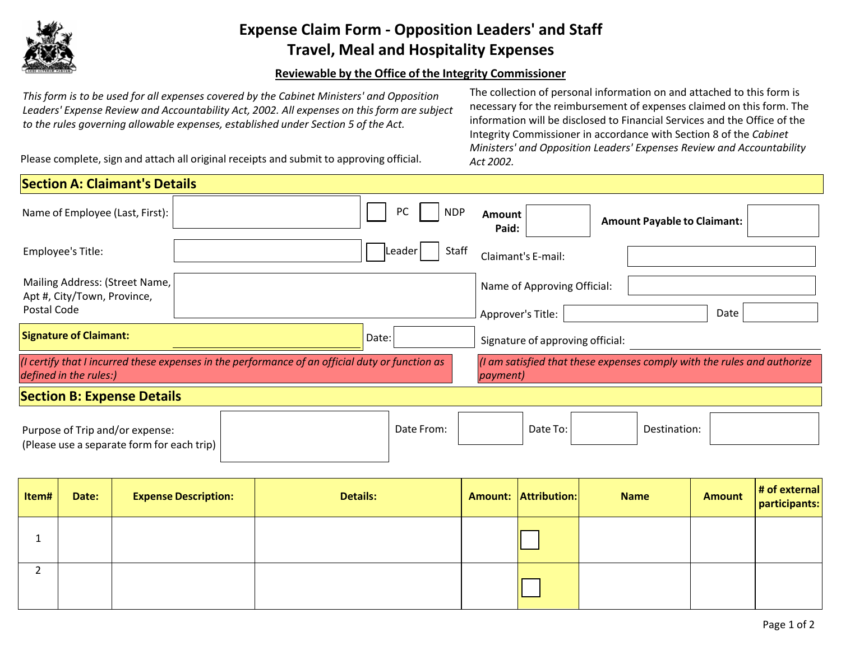

## **Expense Claim Form - Opposition Leaders' and Staff Travel, Meal and Hospitality Expenses**

## **Reviewable by the Office of the Integrity Commissioner**

*This form is to be used for all expenses covered by the Cabinet Ministers' and Opposition Leaders' Expense Review and Accountability Act, 2002. All expenses on this form are subject to the rules governing allowable expenses, established under Section 5 of the Act.*

The collection of personal information on and attached to this form is necessary for the reimbursement of expenses claimed on this form. The information will be disclosed to Financial Services and the Office of the Integrity Commissioner in accordance with Section 8 of the *Cabinet Ministers' and Opposition Leaders' Expenses Review and Accountability Act 2002.*

Please complete, sign and attach all original receipts and submit to approving official.

| <b>Section A: Claimant's Details</b>                                                                                                                                                                                     |  |                  |                                  |                                    |  |  |
|--------------------------------------------------------------------------------------------------------------------------------------------------------------------------------------------------------------------------|--|------------------|----------------------------------|------------------------------------|--|--|
| Name of Employee (Last, First):                                                                                                                                                                                          |  | PC<br><b>NDP</b> | <b>Amount</b><br>Paid:           | <b>Amount Payable to Claimant:</b> |  |  |
| Employee's Title:                                                                                                                                                                                                        |  | Staff<br>Leader  | Claimant's E-mail:               |                                    |  |  |
| Mailing Address: (Street Name,<br>Apt #, City/Town, Province,                                                                                                                                                            |  |                  | Name of Approving Official:      |                                    |  |  |
| Postal Code                                                                                                                                                                                                              |  |                  | Approver's Title:                | Date                               |  |  |
| <b>Signature of Claimant:</b><br>Date:                                                                                                                                                                                   |  |                  | Signature of approving official: |                                    |  |  |
| (I am satisfied that these expenses comply with the rules and authorize<br>(I certify that I incurred these expenses in the performance of an official duty or function as<br>defined in the rules:)<br><i>payment</i> ) |  |                  |                                  |                                    |  |  |
| <b>Section B: Expense Details</b>                                                                                                                                                                                        |  |                  |                                  |                                    |  |  |
| Purpose of Trip and/or expense:<br>(Please use a separate form for each trip)                                                                                                                                            |  | Date From:       | Date To:                         | Destination:                       |  |  |

| Item# | Date: | <b>Expense Description:</b> | <b>Details:</b> | <b>Amount: Attribution:</b> | <b>Name</b> | <b>Amount</b> | $\vert$ # of external<br>participants: |
|-------|-------|-----------------------------|-----------------|-----------------------------|-------------|---------------|----------------------------------------|
|       |       |                             |                 |                             |             |               |                                        |
|       |       |                             |                 |                             |             |               |                                        |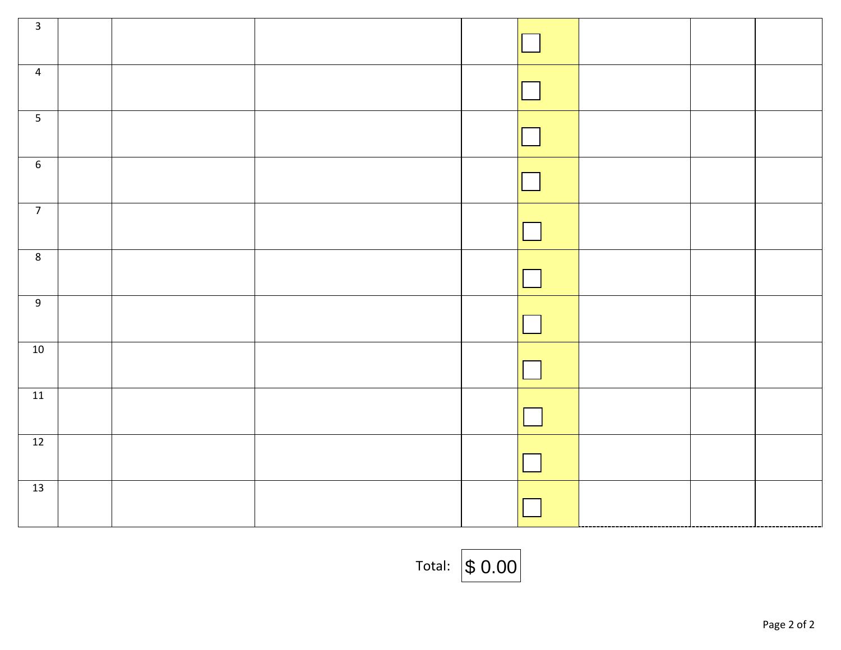| $\overline{\mathbf{3}}$ |  |  |  |  |
|-------------------------|--|--|--|--|
| $\overline{4}$          |  |  |  |  |
| $\overline{5}$          |  |  |  |  |
| $6\phantom{.}6$         |  |  |  |  |
| $\overline{7}$          |  |  |  |  |
| $\overline{8}$          |  |  |  |  |
| 9                       |  |  |  |  |
| 10                      |  |  |  |  |
| 11                      |  |  |  |  |
| 12                      |  |  |  |  |
| 13                      |  |  |  |  |

Total: \$ 0.00